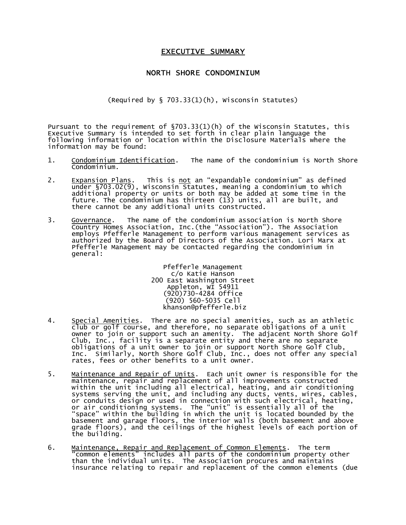## **EXECUTIVE SUMMARY**

## NORTH SHORE CONDOMINIUM

(Required by § 703.33(1)(h), Wisconsin Statutes)

Pursuant to the requirement of §703.33(1)(h) of the Wisconsin Statutes, this Executive Summary is intended to set forth in clear plain language the following information or location within the Disclosure Materials where the information may be found:

- 1. Condominium Identification. The name of the condominium is North Shore Condominium.
- 2. <u>Expansion Plans</u>. This is <u>not</u> an "expandable condominium" as defined under §703.02(9), Wisconsin Statutes, meaning a condominium to which additional property or units or both may be added at some time in the future. The condominium has thirteen (13) units, all are built, and there cannot be any additional units constructed.
- 3. Governance. The name of the condominium association is North Shore Country Homes Association, Inc.(the "Association"). The Association employs Pfefferle Management to perform various management services as authorized by the Board of Directors of the Association. Lori Marx at Pfefferle Management may be contacted regarding the condominium in general:

Pfefferle Management c/o Katie Hanson 200 East Washington Street Appleton, WI 54911 (920)730-4284 Office (920) 560-5035 Cell khanson@pfefferle.biz

- 4. <u>Special Amenities</u>. There are no special amenities, such as an athletic club or golf course, and therefore, no separate obligations of a unit owner to join or support such an amenity. The adjacent North Shore Golf Club, Inc., facility is a separate entity and there are no separate obligations of a unit owner to join or support North Shore Golf Club, Inc. Similarly, North Shore Golf Club, Inc., does not offer any special rates, fees or other benefits to a unit owner.
- 5. <u>Maintenance and Repair of Units</u>. Each unit owner is responsible for the maintenance, repair and replacement of all improvements constructed within the unit including all electrical, heating, and air conditioning systems serving the unit, and including any ducts, vents, wires, cables, or conduits design or used in connection with such electrical, heating, or air conditioning systems. The "unit" is essentially all of the "space" within the building in which the unit is located bounded by the basement and garage floors, the interior walls (both basement and above grade floors), and the ceilings of the highest levels of each portion of the building.
- 6. <u>Maintenance, Repair and Replacement of Common Elements</u>. The term "common elements" includes all parts of the condominium property other than the individual units. The Association procures and maintains insurance relating to repair and replacement of the common elements (due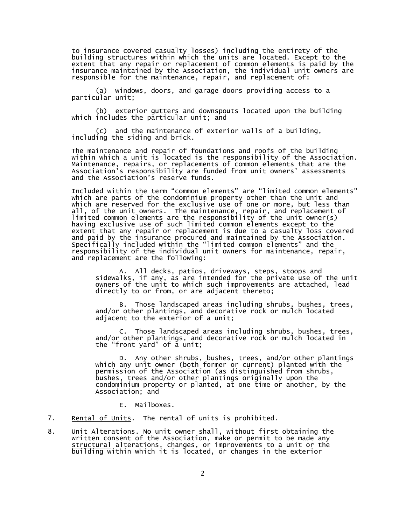to insurance covered casualty losses) including the entirety of the building structures within which the units are located. Except to the extent that any repair or replacement of common elements is paid by the insurance maintained by the Association, the individual unit owners are responsible for the maintenance, repair, and replacement of:

(a) windows, doors, and garage doors providing access to a particular unit;

(b) exterior gutters and downspouts located upon the building which includes the particular unit; and

(c) and the maintenance of exterior walls of a building, including the siding and brick.

The maintenance and repair of foundations and roofs of the building within which a unit is located is the responsibility of the Association. Maintenance, repairs, or replacements of common elements that are the Association's responsibility are funded from unit owners' assessments and the Association's reserve funds.

Included within the term "common elements" are "limited common elements" which are parts of the condominium property other than the unit and which are reserved for the exclusive use of one or more, but less than all, of the unit owners. The maintenance, repair, and replacement of limited common elements are the responsibility of the unit owner(s) having exclusive use of such limited common elements except to the extent that any repair or replacement is due to a casualty loss covered and paid by the insurance procured and maintained by the Association. Specifically included within the "limited common elements" and the responsibility of the individual unit owners for maintenance, repair, and replacement are the following:

A. All decks, patios, driveways, steps, stoops and sidewalks, if any, as are intended for the private use of the unit owners of the unit to which such improvements are attached, lead directly to or from, or are adjacent thereto;

B. Those landscaped areas including shrubs, bushes, trees, and/or other plantings, and decorative rock or mulch located adjacent to the exterior of a unit;

C. Those landscaped areas including shrubs, bushes, trees, and/or other plantings, and decorative rock or mulch located in the "front yard" of a unit;

D. Any other shrubs, bushes, trees, and/or other plantings which any unit owner (both former or current) planted with the permission of the Association (as distinguished from shrubs, bushes, trees and/or other plantings originally upon the condominium property or planted, at one time or another, by the Association; and

E. Mailboxes.

- 7. Rental of Units. The rental of units is prohibited.
- 8. Unit Alterations. No unit owner shall, without first obtaining the written consent of the Association, make or permit to be made any <u>structural</u> alterations, changes, or improvements to a unit or the building within which it is located, or changes in the exterior